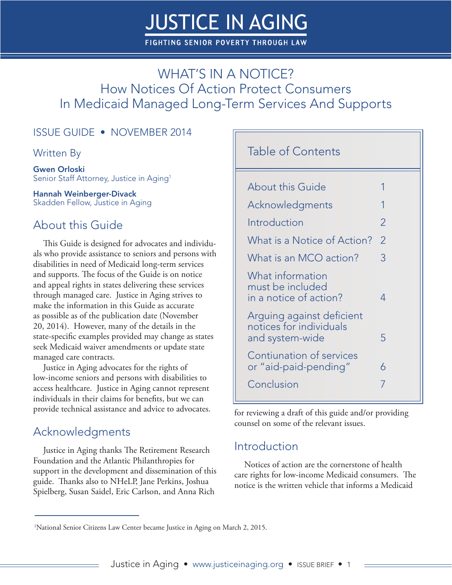# **JUSTICE IN AGING**

**FIGHTING SENIOR POVERTY THROUGH LAW** 

# WHAT'S IN A NOTICE? How Notices Of Action Protect Consumers In Medicaid Managed Long-Term Services And Supports

#### ISSUE GUIDE • NOVEMBER 2014

#### Written By

Gwen Orloski Senior Staff Attorney, Justice in Aging<sup>1</sup>

Hannah Weinberger-Divack Skadden Fellow, Justice in Aging

### About this Guide

This Guide is designed for advocates and individuals who provide assistance to seniors and persons with disabilities in need of Medicaid long-term services and supports. The focus of the Guide is on notice and appeal rights in states delivering these services through managed care. Justice in Aging strives to make the information in this Guide as accurate as possible as of the publication date (November 20, 2014). However, many of the details in the state-specific examples provided may change as states seek Medicaid waiver amendments or update state managed care contracts.

Justice in Aging advocates for the rights of low-income seniors and persons with disabilities to access healthcare. Justice in Aging cannot represent individuals in their claims for benefits, but we can provide technical assistance and advice to advocates.

### Acknowledgments

Justice in Aging thanks The Retirement Research Foundation and the Atlantic Philanthropies for support in the development and dissemination of this guide. Thanks also to NHeLP, Jane Perkins, Joshua Spielberg, Susan Saidel, Eric Carlson, and Anna Rich

#### Table of Contents

| <b>About this Guide</b>                                                 |                |
|-------------------------------------------------------------------------|----------------|
| Acknowledgments                                                         | 1              |
| Introduction                                                            | 2              |
| What is a Notice of Action?                                             | $\overline{2}$ |
| What is an MCO action?                                                  | 3              |
| What information<br>must be included<br>in a notice of action?          | 4              |
| Arguing against deficient<br>notices for individuals<br>and system-wide | 5              |
| Contiunation of services<br>or "aid-paid-pending"                       | 6              |
| Conclusion                                                              | 7              |
|                                                                         |                |

for reviewing a draft of this guide and/or providing counsel on some of the relevant issues.

#### Introduction

Notices of action are the cornerstone of health care rights for low-income Medicaid consumers. The notice is the written vehicle that informs a Medicaid

<sup>1</sup> National Senior Citizens Law Center became Justice in Aging on March 2, 2015.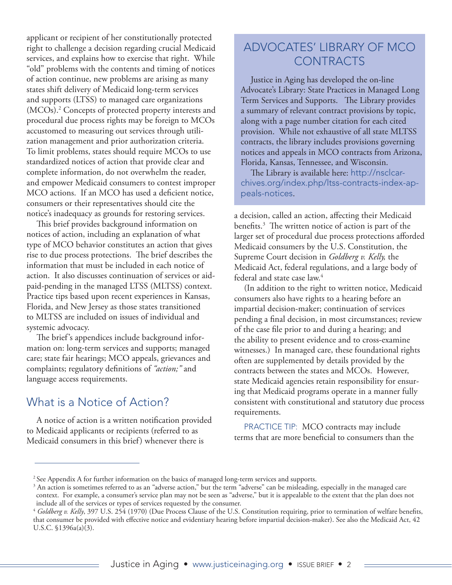applicant or recipient of her constitutionally protected right to challenge a decision regarding crucial Medicaid services, and explains how to exercise that right. While "old" problems with the contents and timing of notices of action continue, new problems are arising as many states shift delivery of Medicaid long-term services and supports (LTSS) to managed care organizations (MCOs).2 Concepts of protected property interests and procedural due process rights may be foreign to MCOs accustomed to measuring out services through utilization management and prior authorization criteria. To limit problems, states should require MCOs to use standardized notices of action that provide clear and complete information, do not overwhelm the reader, and empower Medicaid consumers to contest improper MCO actions. If an MCO has used a deficient notice, consumers or their representatives should cite the notice's inadequacy as grounds for restoring services.

This brief provides background information on notices of action, including an explanation of what type of MCO behavior constitutes an action that gives rise to due process protections. The brief describes the information that must be included in each notice of action. It also discusses continuation of services or aidpaid-pending in the managed LTSS (MLTSS) context. Practice tips based upon recent experiences in Kansas, Florida, and New Jersey as those states transitioned to MLTSS are included on issues of individual and systemic advocacy.

The brief's appendices include background information on: long-term services and supports; managed care; state fair hearings; MCO appeals, grievances and complaints; regulatory definitions of *"action;"* and language access requirements.

#### What is a Notice of Action?

A notice of action is a written notification provided to Medicaid applicants or recipients (referred to as Medicaid consumers in this brief) whenever there is

### ADVOCATES' LIBRARY OF MCO CONTRACTS

Justice in Aging has developed the on-line Advocate's Library: State Practices in Managed Long Term Services and Supports. The Library provides a summary of relevant contract provisions by topic, along with a page number citation for each cited provision. While not exhaustive of all state MLTSS contracts, the library includes provisions governing notices and appeals in MCO contracts from Arizona, Florida, Kansas, Tennessee, and Wisconsin.

The Library is available here: http://nsclcarchives.org/index.php/ltss-contracts-index-appeals-notices.

a decision, called an action, affecting their Medicaid benefits.3 The written notice of action is part of the larger set of procedural due process protections afforded Medicaid consumers by the U.S. Constitution, the Supreme Court decision in *Goldberg v. Kelly,* the Medicaid Act, federal regulations, and a large body of federal and state case law. $4$ 

(In addition to the right to written notice, Medicaid consumers also have rights to a hearing before an impartial decision-maker; continuation of services pending a final decision, in most circumstances; review of the case file prior to and during a hearing; and the ability to present evidence and to cross-examine witnesses.) In managed care, these foundational rights often are supplemented by details provided by the contracts between the states and MCOs. However, state Medicaid agencies retain responsibility for ensuring that Medicaid programs operate in a manner fully consistent with constitutional and statutory due process requirements.

PRACTICE TIP: MCO contracts may include terms that are more beneficial to consumers than the

<sup>&</sup>lt;sup>2</sup> See Appendix A for further information on the basics of managed long-term services and supports.

 $3$  An action is sometimes referred to as an "adverse action," but the term "adverse" can be misleading, especially in the managed care context. For example, a consumer's service plan may not be seen as "adverse," but it is appealable to the extent that the plan does not include all of the services or types of services requested by the consumer.

<sup>&</sup>lt;sup>4</sup> Goldberg v. Kelly, 397 U.S. 254 (1970) (Due Process Clause of the U.S. Constitution requiring, prior to termination of welfare benefits, that consumer be provided with effective notice and evidentiary hearing before impartial decision-maker). See also the Medicaid Act, 42 U.S.C. §1396a(a)(3).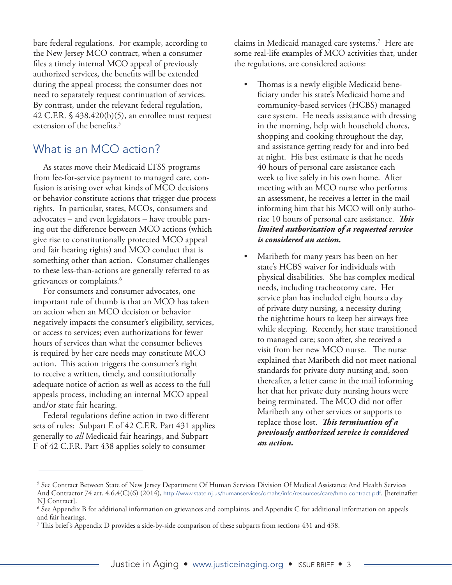bare federal regulations. For example, according to the New Jersey MCO contract, when a consumer files a timely internal MCO appeal of previously authorized services, the benefits will be extended during the appeal process; the consumer does not need to separately request continuation of services. By contrast, under the relevant federal regulation, 42 C.F.R. § 438.420(b)(5), an enrollee must request extension of the benefits.<sup>5</sup>

### What is an MCO action?

As states move their Medicaid LTSS programs from fee-for-service payment to managed care, confusion is arising over what kinds of MCO decisions or behavior constitute actions that trigger due process rights. In particular, states, MCOs, consumers and advocates – and even legislators – have trouble parsing out the difference between MCO actions (which give rise to constitutionally protected MCO appeal and fair hearing rights) and MCO conduct that is something other than action. Consumer challenges to these less-than-actions are generally referred to as grievances or complaints.<sup>6</sup>

For consumers and consumer advocates, one important rule of thumb is that an MCO has taken an action when an MCO decision or behavior negatively impacts the consumer's eligibility, services, or access to services; even authorizations for fewer hours of services than what the consumer believes is required by her care needs may constitute MCO action. This action triggers the consumer's right to receive a written, timely, and constitutionally adequate notice of action as well as access to the full appeals process, including an internal MCO appeal and/or state fair hearing.

Federal regulations define action in two different sets of rules: Subpart E of 42 C.F.R. Part 431 applies generally to *all* Medicaid fair hearings, and Subpart F of 42 C.F.R. Part 438 applies solely to consumer

claims in Medicaid managed care systems.7 Here are some real-life examples of MCO activities that, under the regulations, are considered actions:

- Thomas is a newly eligible Medicaid beneficiary under his state's Medicaid home and community-based services (HCBS) managed care system. He needs assistance with dressing in the morning, help with household chores, shopping and cooking throughout the day, and assistance getting ready for and into bed at night. His best estimate is that he needs 40 hours of personal care assistance each week to live safely in his own home. After meeting with an MCO nurse who performs an assessment, he receives a letter in the mail informing him that his MCO will only authorize 10 hours of personal care assistance. *This limited authorization of a requested service is considered an action.*
- Maribeth for many years has been on her state's HCBS waiver for individuals with physical disabilities. She has complex medical needs, including tracheotomy care. Her service plan has included eight hours a day of private duty nursing, a necessity during the nighttime hours to keep her airways free while sleeping. Recently, her state transitioned to managed care; soon after, she received a visit from her new MCO nurse. The nurse explained that Maribeth did not meet national standards for private duty nursing and, soon thereafter, a letter came in the mail informing her that her private duty nursing hours were being terminated. The MCO did not offer Maribeth any other services or supports to replace those lost. *This termination of a previously authorized service is considered an action.*

<sup>&</sup>lt;sup>5</sup> See Contract Between State of New Jersey Department Of Human Services Division Of Medical Assistance And Health Services And Contractor 74 art. 4.6.4(C)(6) (2014), http://www.state.nj.us/humanservices/dmahs/info/resources/care/hmo-contract.pdf. [hereinafter NJ Contract].

<sup>6</sup> See Appendix B for additional information on grievances and complaints, and Appendix C for additional information on appeals and fair hearings.

<sup>7</sup> This brief's Appendix D provides a side-by-side comparison of these subparts from sections 431 and 438.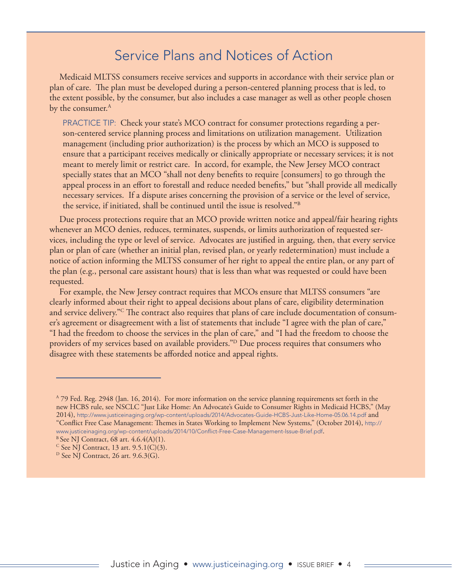# Service Plans and Notices of Action

Medicaid MLTSS consumers receive services and supports in accordance with their service plan or plan of care. The plan must be developed during a person-centered planning process that is led, to the extent possible, by the consumer, but also includes a case manager as well as other people chosen by the consumer.<sup>A</sup>

PRACTICE TIP: Check your state's MCO contract for consumer protections regarding a person-centered service planning process and limitations on utilization management. Utilization management (including prior authorization) is the process by which an MCO is supposed to ensure that a participant receives medically or clinically appropriate or necessary services; it is not meant to merely limit or restrict care. In accord, for example, the New Jersey MCO contract specially states that an MCO "shall not deny benefits to require [consumers] to go through the appeal process in an effort to forestall and reduce needed benefits," but "shall provide all medically necessary services. If a dispute arises concerning the provision of a service or the level of service, the service, if initiated, shall be continued until the issue is resolved."B

Due process protections require that an MCO provide written notice and appeal/fair hearing rights whenever an MCO denies, reduces, terminates, suspends, or limits authorization of requested services, including the type or level of service. Advocates are justified in arguing, then, that every service plan or plan of care (whether an initial plan, revised plan, or yearly redetermination) must include a notice of action informing the MLTSS consumer of her right to appeal the entire plan, or any part of the plan (e.g., personal care assistant hours) that is less than what was requested or could have been requested.

For example, the New Jersey contract requires that MCOs ensure that MLTSS consumers "are clearly informed about their right to appeal decisions about plans of care, eligibility determination and service delivery."C The contract also requires that plans of care include documentation of consumer's agreement or disagreement with a list of statements that include "I agree with the plan of care," "I had the freedom to choose the services in the plan of care," and "I had the freedom to choose the providers of my services based on available providers."D Due process requires that consumers who disagree with these statements be afforded notice and appeal rights.

A 79 Fed. Reg. 2948 (Jan. 16, 2014). For more information on the service planning requirements set forth in the new HCBS rule, see NSCLC "Just Like Home: An Advocate's Guide to Consumer Rights in Medicaid HCBS," (May 2014), http://www.justiceinaging.org/wp-content/uploads/2014/Advocates-Guide-HCBS-Just-Like-Home-05.06.14.pdf and "Conflict Free Case Management: Themes in States Working to Implement New Systems," (October 2014), http:// www.justiceinaging.org/wp-content/uploads/2014/10/Conflict-Free-Case-Management-Issue-Brief.pdf. B See NJ Contract, 68 art. 4.6.4(A)(1).

 $C$  See NJ Contract, 13 art. 9.5.1(C)(3).

 $D$  See NJ Contract, 26 art. 9.6.3(G).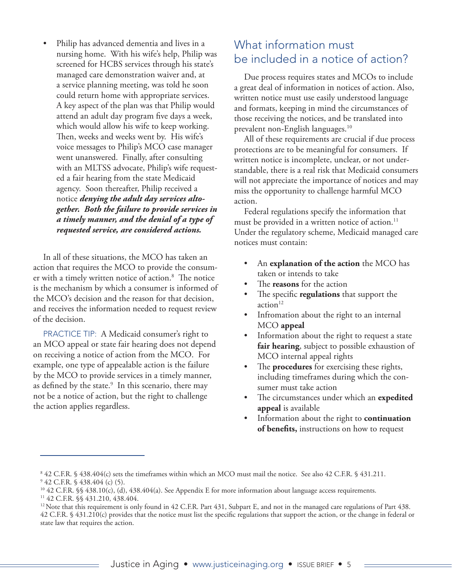• Philip has advanced dementia and lives in a nursing home. With his wife's help, Philip was screened for HCBS services through his state's managed care demonstration waiver and, at a service planning meeting, was told he soon could return home with appropriate services. A key aspect of the plan was that Philip would attend an adult day program five days a week, which would allow his wife to keep working. Then, weeks and weeks went by. His wife's voice messages to Philip's MCO case manager went unanswered. Finally, after consulting with an MLTSS advocate, Philip's wife requested a fair hearing from the state Medicaid agency. Soon thereafter, Philip received a notice *denying the adult day services altogether. Both the failure to provide services in a timely manner, and the denial of a type of requested service, are considered actions.*

In all of these situations, the MCO has taken an action that requires the MCO to provide the consumer with a timely written notice of action.8 The notice is the mechanism by which a consumer is informed of the MCO's decision and the reason for that decision, and receives the information needed to request review of the decision.

PRACTICE TIP: A Medicaid consumer's right to an MCO appeal or state fair hearing does not depend on receiving a notice of action from the MCO. For example, one type of appealable action is the failure by the MCO to provide services in a timely manner, as defined by the state.<sup>9</sup> In this scenario, there may not be a notice of action, but the right to challenge the action applies regardless.

### What information must be included in a notice of action?

Due process requires states and MCOs to include a great deal of information in notices of action. Also, written notice must use easily understood language and formats, keeping in mind the circumstances of those receiving the notices, and be translated into prevalent non-English languages.10

All of these requirements are crucial if due process protections are to be meaningful for consumers. If written notice is incomplete, unclear, or not understandable, there is a real risk that Medicaid consumers will not appreciate the importance of notices and may miss the opportunity to challenge harmful MCO action.

Federal regulations specify the information that must be provided in a written notice of action.<sup>11</sup> Under the regulatory scheme, Medicaid managed care notices must contain:

- An **explanation of the action** the MCO has taken or intends to take
- The **reasons** for the action
- The specific **regulations** that support the action<sup>12</sup>
- Infromation about the right to an internal MCO **appeal**
- Information about the right to request a state **fair hearing**, subject to possible exhaustion of MCO internal appeal rights
- The **procedures** for exercising these rights, including timeframes during which the consumer must take action
- The circumstances under which an **expedited appeal** is available
- Information about the right to **continuation of benefits,** instructions on how to request

11 42 C.F.R. §§ 431.210, 438.404.

<sup>8</sup> 42 C.F.R. § 438.404(c) sets the timeframes within which an MCO must mail the notice. See also 42 C.F.R. § 431.211.

<sup>9</sup> 42 C.F.R. § 438.404 (c) (5).

<sup>10 42</sup> C.F.R. §§ 438.10(c), (d), 438.404(a). See Appendix E for more information about language access requirements.

 $12$  Note that this requirement is only found in 42 C.F.R. Part 431, Subpart E, and not in the managed care regulations of Part 438. 42 C.F.R. § 431.210(c) provides that the notice must list the specific regulations that support the action, or the change in federal or state law that requires the action.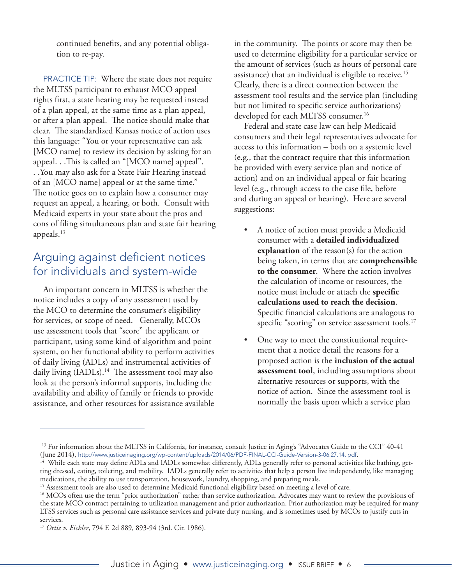continued benefits, and any potential obligation to re-pay.

PRACTICE TIP: Where the state does not require the MLTSS participant to exhaust MCO appeal rights first, a state hearing may be requested instead of a plan appeal, at the same time as a plan appeal, or after a plan appeal. The notice should make that clear. The standardized Kansas notice of action uses this language: "You or your representative can ask [MCO name] to review its decision by asking for an appeal. . .This is called an "[MCO name] appeal". . .You may also ask for a State Fair Hearing instead of an [MCO name] appeal or at the same time." The notice goes on to explain how a consumer may request an appeal, a hearing, or both. Consult with Medicaid experts in your state about the pros and cons of filing simultaneous plan and state fair hearing appeals.13

### Arguing against deficient notices for individuals and system-wide

An important concern in MLTSS is whether the notice includes a copy of any assessment used by the MCO to determine the consumer's eligibility for services, or scope of need. Generally, MCOs use assessment tools that "score" the applicant or participant, using some kind of algorithm and point system, on her functional ability to perform activities of daily living (ADLs) and instrumental activities of daily living  $(IAD Ls).<sup>14</sup>$  The assessment tool may also look at the person's informal supports, including the availability and ability of family or friends to provide assistance, and other resources for assistance available

in the community. The points or score may then be used to determine eligibility for a particular service or the amount of services (such as hours of personal care assistance) that an individual is eligible to receive.<sup>15</sup> Clearly, there is a direct connection between the assessment tool results and the service plan (including but not limited to specific service authorizations) developed for each MLTSS consumer.<sup>16</sup>

Federal and state case law can help Medicaid consumers and their legal representatives advocate for access to this information – both on a systemic level (e.g., that the contract require that this information be provided with every service plan and notice of action) and on an individual appeal or fair hearing level (e.g., through access to the case file, before and during an appeal or hearing). Here are several suggestions:

- A notice of action must provide a Medicaid consumer with a **detailed individualized explanation** of the reason(s) for the action being taken, in terms that are **comprehensible to the consumer**. Where the action involves the calculation of income or resources, the notice must include or attach the **specific calculations used to reach the decision**. Specific financial calculations are analogous to specific "scoring" on service assessment tools.<sup>17</sup>
- One way to meet the constitutional requirement that a notice detail the reasons for a proposed action is the **inclusion of the actual assessment tool**, including assumptions about alternative resources or supports, with the notice of action. Since the assessment tool is normally the basis upon which a service plan

<sup>&</sup>lt;sup>13</sup> For information about the MLTSS in California, for instance, consult Justice in Aging's "Advocates Guide to the CCI" 40-41 (June 2014), http://www.justiceinaging.org/wp-content/uploads/2014/06/PDF-FINAL-CCI-Guide-Version-3-06.27.14. pdf.

<sup>&</sup>lt;sup>14</sup> While each state may define ADLs and IADLs somewhat differently, ADLs generally refer to personal activities like bathing, getting dressed, eating, toileting, and mobility. IADLs generally refer to activities that help a person live independently, like managing medications, the ability to use transportation, housework, laundry, shopping, and preparing meals.

<sup>&</sup>lt;sup>15</sup> Assessment tools are also used to determine Medicaid functional eligibility based on meeting a level of care.

<sup>&</sup>lt;sup>16</sup> MCOs often use the term "prior authorization" rather than service authorization. Advocates may want to review the provisions of the state MCO contract pertaining to utilization management and prior authorization. Prior authorization may be required for many LTSS services such as personal care assistance services and private duty nursing, and is sometimes used by MCOs to justify cuts in services.

<sup>17</sup> *Ortiz v. Eichler*, 794 F. 2d 889, 893-94 (3rd. Cir. 1986).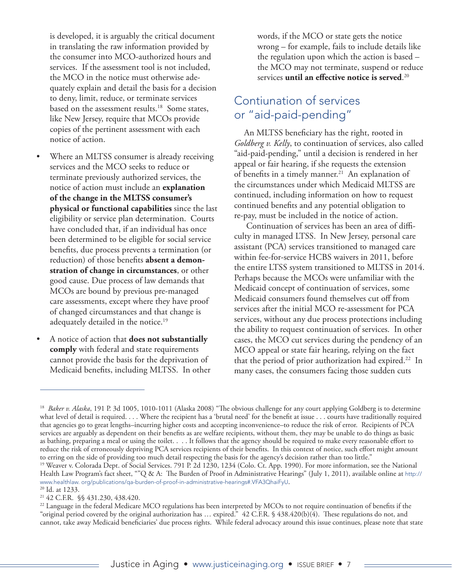is developed, it is arguably the critical document in translating the raw information provided by the consumer into MCO-authorized hours and services. If the assessment tool is not included, the MCO in the notice must otherwise adequately explain and detail the basis for a decision to deny, limit, reduce, or terminate services based on the assessment results.<sup>18</sup> Some states, like New Jersey, require that MCOs provide copies of the pertinent assessment with each notice of action.

- Where an MLTSS consumer is already receiving services and the MCO seeks to reduce or terminate previously authorized services, the notice of action must include an **explanation of the change in the MLTSS consumer's physical or functional capabilities** since the last eligibility or service plan determination. Courts have concluded that, if an individual has once been determined to be eligible for social service benefits, due process prevents a termination (or reduction) of those benefits **absent a demonstration of change in circumstances**, or other good cause. Due process of law demands that MCOs are bound by previous pre-managed care assessments, except where they have proof of changed circumstances and that change is adequately detailed in the notice.<sup>19</sup>
- A notice of action that **does not substantially comply** with federal and state requirements cannot provide the basis for the deprivation of Medicaid benefits, including MLTSS. In other

words, if the MCO or state gets the notice wrong – for example, fails to include details like the regulation upon which the action is based – the MCO may not terminate, suspend or reduce services **until an effective notice is served**. 20

### Contiunation of services or "aid-paid-pending"

An MLTSS beneficiary has the right, rooted in *Goldberg v. Kelly*, to continuation of services, also called "aid-paid-pending," until a decision is rendered in her appeal or fair hearing, if she requests the extension of benefits in a timely manner.<sup>21</sup> An explanation of the circumstances under which Medicaid MLTSS are continued, including information on how to request continued benefits and any potential obligation to re-pay, must be included in the notice of action.

 Continuation of services has been an area of difficulty in managed LTSS. In New Jersey, personal care assistant (PCA) services transitioned to managed care within fee-for-service HCBS waivers in 2011, before the entire LTSS system transitioned to MLTSS in 2014. Perhaps because the MCOs were unfamiliar with the Medicaid concept of continuation of services, some Medicaid consumers found themselves cut off from services after the initial MCO re-assessment for PCA services, without any due process protections including the ability to request continuation of services. In other cases, the MCO cut services during the pendency of an MCO appeal or state fair hearing, relying on the fact that the period of prior authorization had expired.<sup>22</sup> In many cases, the consumers facing those sudden cuts

<sup>&</sup>lt;sup>18</sup> *Baker v. Alaska*, 191 P. 3d 1005, 1010-1011 (Alaska 2008) "The obvious challenge for any court applying Goldberg is to determine what level of detail is required. . . . Where the recipient has a 'brutal need' for the benefit at issue . . . courts have traditionally required that agencies go to great lengths–incurring higher costs and accepting inconvenience–to reduce the risk of error. Recipients of PCA services are arguably as dependent on their benefits as are welfare recipients, without them, they may be unable to do things as basic as bathing, preparing a meal or using the toilet. . . . It follows that the agency should be required to make every reasonable effort to reduce the risk of erroneously depriving PCA services recipients of their benefits. In this context of notice, such effort might amount to erring on the side of providing too much detail respecting the basis for the agency's decision rather than too little." <sup>19</sup> Weaver v. Colorada Dept. of Social Services. 791 P. 2d 1230, 1234 (Colo. Ct. App. 1990). For more information, see the National

Health Law Program's fact sheet, ""Q & A: The Burden of Proof in Administrative Hearings" (July 1, 2011), available online at http:// www.healthlaw. org/publications/qa-burden-of-proof-in-administrative-hearings#.VFA3QhaiFyU. <sup>20</sup> Id. at 1233.

<sup>21 42</sup> C.F.R. §§ 431.230, 438.420.

<sup>&</sup>lt;sup>22</sup> Language in the federal Medicare MCO regulations has been interpreted by MCOs to not require continuation of benefits if the "original period covered by the original authorization has … expired." 42 C.F.R. § 438.420(b)(4). These regulations do not, and cannot, take away Medicaid beneficiaries' due process rights. While federal advocacy around this issue continues, please note that state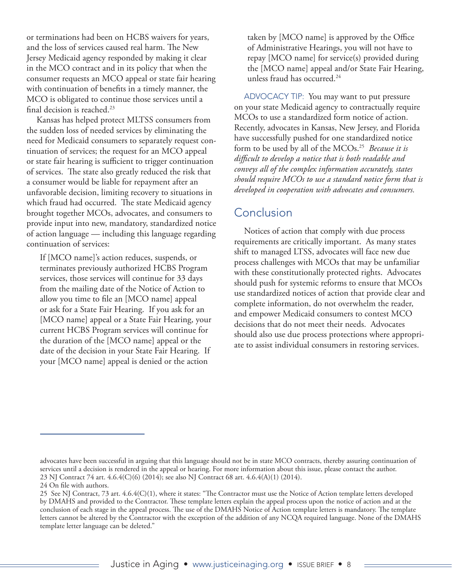or terminations had been on HCBS waivers for years, and the loss of services caused real harm. The New Jersey Medicaid agency responded by making it clear in the MCO contract and in its policy that when the consumer requests an MCO appeal or state fair hearing with continuation of benefits in a timely manner, the MCO is obligated to continue those services until a final decision is reached.<sup>23</sup>

Kansas has helped protect MLTSS consumers from the sudden loss of needed services by eliminating the need for Medicaid consumers to separately request continuation of services; the request for an MCO appeal or state fair hearing is sufficient to trigger continuation of services. The state also greatly reduced the risk that a consumer would be liable for repayment after an unfavorable decision, limiting recovery to situations in which fraud had occurred. The state Medicaid agency brought together MCOs, advocates, and consumers to provide input into new, mandatory, standardized notice of action language — including this language regarding continuation of services:

If [MCO name]'s action reduces, suspends, or terminates previously authorized HCBS Program services, those services will continue for 33 days from the mailing date of the Notice of Action to allow you time to file an [MCO name] appeal or ask for a State Fair Hearing. If you ask for an [MCO name] appeal or a State Fair Hearing, your current HCBS Program services will continue for the duration of the [MCO name] appeal or the date of the decision in your State Fair Hearing. If your [MCO name] appeal is denied or the action

taken by [MCO name] is approved by the Office of Administrative Hearings, you will not have to repay [MCO name] for service(s) provided during the [MCO name] appeal and/or State Fair Hearing, unless fraud has occurred.<sup>24</sup>

ADVOCACY TIP: You may want to put pressure on your state Medicaid agency to contractually require MCOs to use a standardized form notice of action. Recently, advocates in Kansas, New Jersey, and Florida have successfully pushed for one standardized notice form to be used by all of the MCOs.25 *Because it is difficult to develop a notice that is both readable and conveys all of the complex information accurately, states should require MCOs to use a standard notice form that is developed in cooperation with advocates and consumers.*

#### Conclusion

Notices of action that comply with due process requirements are critically important. As many states shift to managed LTSS, advocates will face new due process challenges with MCOs that may be unfamiliar with these constitutionally protected rights. Advocates should push for systemic reforms to ensure that MCOs use standardized notices of action that provide clear and complete information, do not overwhelm the reader, and empower Medicaid consumers to contest MCO decisions that do not meet their needs. Advocates should also use due process protections where appropriate to assist individual consumers in restoring services.

advocates have been successful in arguing that this language should not be in state MCO contracts, thereby assuring continuation of services until a decision is rendered in the appeal or hearing. For more information about this issue, please contact the author. 23 NJ Contract 74 art. 4.6.4(C)(6) (2014); see also NJ Contract 68 art. 4.6.4(A)(1) (2014).

<sup>24</sup> On file with authors.

<sup>25</sup> See NJ Contract, 73 art. 4.6.4(C)(1), where it states: "The Contractor must use the Notice of Action template letters developed by DMAHS and provided to the Contractor. These template letters explain the appeal process upon the notice of action and at the conclusion of each stage in the appeal process. The use of the DMAHS Notice of Action template letters is mandatory. The template letters cannot be altered by the Contractor with the exception of the addition of any NCQA required language. None of the DMAHS template letter language can be deleted."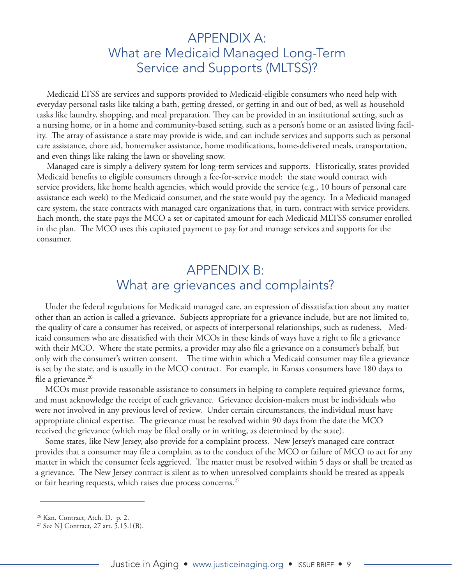## APPENDIX A: What are Medicaid Managed Long-Term Service and Supports (MLTSS)?

Medicaid LTSS are services and supports provided to Medicaid-eligible consumers who need help with everyday personal tasks like taking a bath, getting dressed, or getting in and out of bed, as well as household tasks like laundry, shopping, and meal preparation. They can be provided in an institutional setting, such as a nursing home, or in a home and community-based setting, such as a person's home or an assisted living facility. The array of assistance a state may provide is wide, and can include services and supports such as personal care assistance, chore aid, homemaker assistance, home modifications, home-delivered meals, transportation, and even things like raking the lawn or shoveling snow.

Managed care is simply a delivery system for long-term services and supports. Historically, states provided Medicaid benefits to eligible consumers through a fee-for-service model: the state would contract with service providers, like home health agencies, which would provide the service (e.g., 10 hours of personal care assistance each week) to the Medicaid consumer, and the state would pay the agency. In a Medicaid managed care system, the state contracts with managed care organizations that, in turn, contract with service providers. Each month, the state pays the MCO a set or capitated amount for each Medicaid MLTSS consumer enrolled in the plan. The MCO uses this capitated payment to pay for and manage services and supports for the consumer.

## APPENDIX B: What are grievances and complaints?

Under the federal regulations for Medicaid managed care, an expression of dissatisfaction about any matter other than an action is called a grievance. Subjects appropriate for a grievance include, but are not limited to, the quality of care a consumer has received, or aspects of interpersonal relationships, such as rudeness. Medicaid consumers who are dissatisfied with their MCOs in these kinds of ways have a right to file a grievance with their MCO. Where the state permits, a provider may also file a grievance on a consumer's behalf, but only with the consumer's written consent. The time within which a Medicaid consumer may file a grievance is set by the state, and is usually in the MCO contract. For example, in Kansas consumers have 180 days to file a grievance. $26$ 

MCOs must provide reasonable assistance to consumers in helping to complete required grievance forms, and must acknowledge the receipt of each grievance. Grievance decision-makers must be individuals who were not involved in any previous level of review. Under certain circumstances, the individual must have appropriate clinical expertise. The grievance must be resolved within 90 days from the date the MCO received the grievance (which may be filed orally or in writing, as determined by the state).

Some states, like New Jersey, also provide for a complaint process. New Jersey's managed care contract provides that a consumer may file a complaint as to the conduct of the MCO or failure of MCO to act for any matter in which the consumer feels aggrieved. The matter must be resolved within 5 days or shall be treated as a grievance. The New Jersey contract is silent as to when unresolved complaints should be treated as appeals or fair hearing requests, which raises due process concerns.<sup>27</sup>

<sup>26</sup> Kan. Contract, Atch. D. p. 2.

<sup>27</sup> See NJ Contract, 27 art. 5.15.1(B).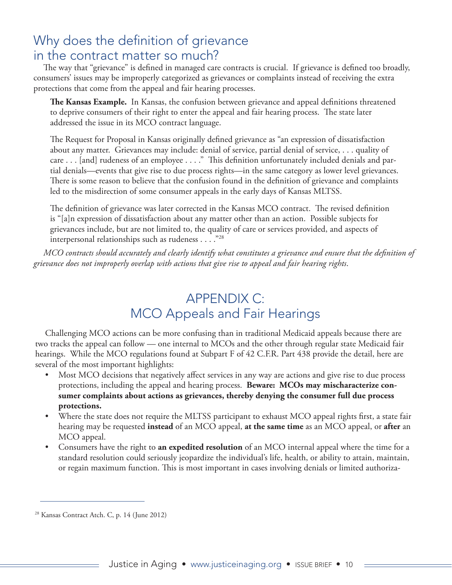# Why does the definition of grievance in the contract matter so much?

The way that "grievance" is defined in managed care contracts is crucial. If grievance is defined too broadly, consumers' issues may be improperly categorized as grievances or complaints instead of receiving the extra protections that come from the appeal and fair hearing processes.

**The Kansas Example.** In Kansas, the confusion between grievance and appeal definitions threatened to deprive consumers of their right to enter the appeal and fair hearing process. The state later addressed the issue in its MCO contract language.

The Request for Proposal in Kansas originally defined grievance as "an expression of dissatisfaction about any matter. Grievances may include: denial of service, partial denial of service, . . . quality of care . . . [and] rudeness of an employee . . . ." This definition unfortunately included denials and partial denials—events that give rise to due process rights—in the same category as lower level grievances. There is some reason to believe that the confusion found in the definition of grievance and complaints led to the misdirection of some consumer appeals in the early days of Kansas MLTSS.

The definition of grievance was later corrected in the Kansas MCO contract. The revised definition is "[a]n expression of dissatisfaction about any matter other than an action. Possible subjects for grievances include, but are not limited to, the quality of care or services provided, and aspects of interpersonal relationships such as rudeness . . . ."28

*MCO contracts should accurately and clearly identify what constitutes a grievance and ensure that the definition of grievance does not improperly overlap with actions that give rise to appeal and fair hearing rights*.

# APPENDIX C: MCO Appeals and Fair Hearings

Challenging MCO actions can be more confusing than in traditional Medicaid appeals because there are two tracks the appeal can follow — one internal to MCOs and the other through regular state Medicaid fair hearings. While the MCO regulations found at Subpart F of 42 C.F.R. Part 438 provide the detail, here are several of the most important highlights:

- Most MCO decisions that negatively affect services in any way are actions and give rise to due process protections, including the appeal and hearing process. **Beware: MCOs may mischaracterize consumer complaints about actions as grievances, thereby denying the consumer full due process protections.**
- Where the state does not require the MLTSS participant to exhaust MCO appeal rights first, a state fair hearing may be requested **instead** of an MCO appeal, **at the same time** as an MCO appeal, or **after** an MCO appeal.
- Consumers have the right to **an expedited resolution** of an MCO internal appeal where the time for a standard resolution could seriously jeopardize the individual's life, health, or ability to attain, maintain, or regain maximum function. This is most important in cases involving denials or limited authoriza-

<sup>28</sup> Kansas Contract Atch. C, p. 14 (June 2012)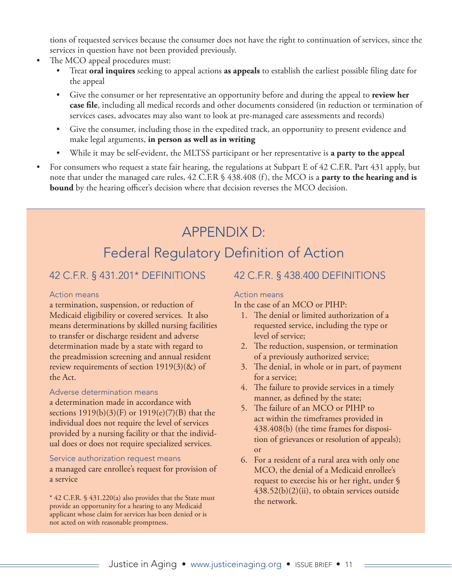tions of requested services because the consumer does not have the right to continuation of services, since the services in question have not been provided previously.

- The MCO appeal procedures must:
	- Treat **oral inquires** seeking to appeal actions **as appeals** to establish the earliest possible filing date for the appeal
	- Give the consumer or her representative an opportunity before and during the appeal to **review her case file**, including all medical records and other documents considered (in reduction or termination of services cases, advocates may also want to look at pre-managed care assessments and records)
	- Give the consumer, including those in the expedited track, an opportunity to present evidence and make legal arguments, **in person as well as in writing**
	- While it may be self-evident, the MLTSS participant or her representative is **a party to the appeal**
- For consumers who request a state fair hearing, the regulations at Subpart E of 42 C.F.R. Part 431 apply, but note that under the managed care rules, 42 C.F.R § 438.408 (f), the MCO is a **party to the hearing and is bound** by the hearing officer's decision where that decision reverses the MCO decision.

# APPENDIX D: Federal Regulatory Definition of Action

#### 42 C.F.R. § 431.201\* DEFINITIONS

#### Action means

a termination, suspension, or reduction of Medicaid eligibility or covered services. It also means determinations by skilled nursing facilities to transfer or discharge resident and adverse determination made by a state with regard to the preadmission screening and annual resident review requirements of section 1919(3)(&) of the Act.

#### Adverse determination means

a determination made in accordance with sections 1919(b)(3)(F) or 1919(e)(7)(B) that the individual does not require the level of services provided by a nursing facility or that the individual does or does not require specialized services.

#### Service authorization request means

a managed care enrollee's request for provision of a service

\* 42 C.F.R. § 431.220(a) also provides that the State must provide an opportunity for a hearing to any Medicaid applicant whose claim for services has been denied or is not acted on with reasonable promptness.

#### 42 C.F.R. § 438.400 DEFINITIONS

#### Action means

In the case of an MCO or PIHP:

- 1. The denial or limited authorization of a requested service, including the type or level of service;
- 2. The reduction, suspension, or termination of a previously authorized service;
- 3. The denial, in whole or in part, of payment for a service;
- 4. The failure to provide services in a timely manner, as defined by the state;
- 5. The failure of an MCO or PIHP to act within the timeframes provided in 438.408(b) (the time frames for disposition of grievances or resolution of appeals); or
- 6. For a resident of a rural area with only one MCO, the denial of a Medicaid enrollee's request to exercise his or her right, under § 438.52(b)(2)(ii), to obtain services outside the network.